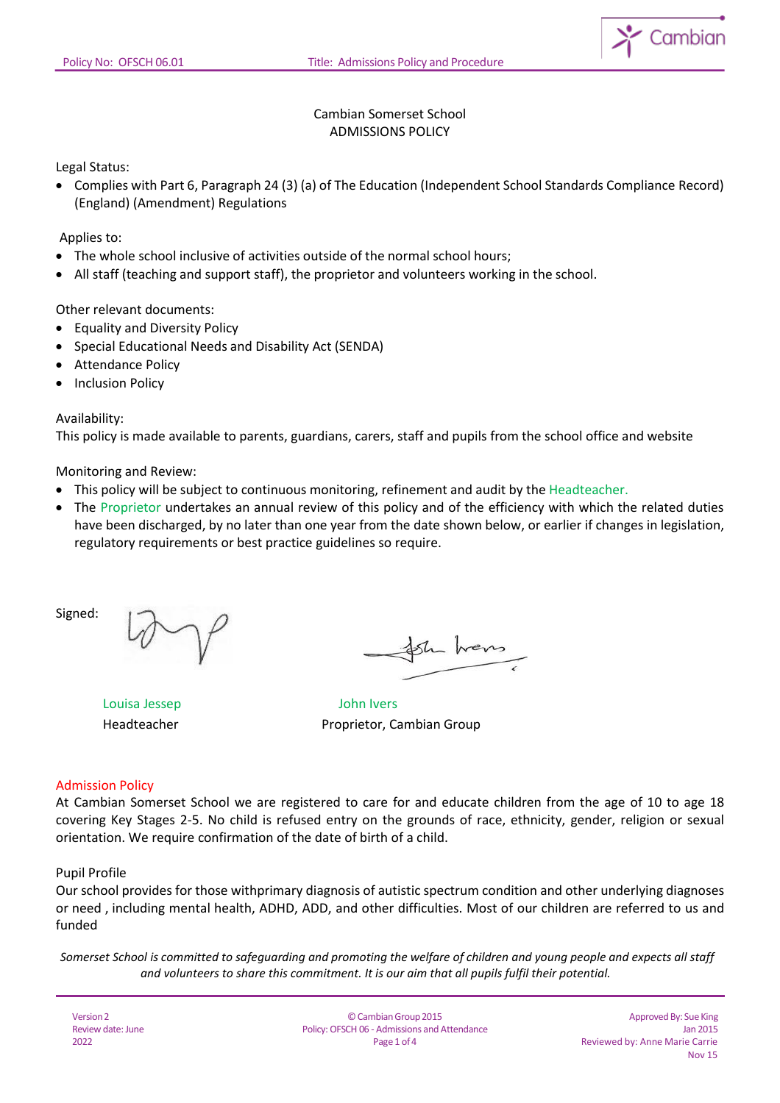

## Cambian Somerset School ADMISSIONS POLICY

Legal Status:

• Complies with Part 6, Paragraph 24 (3) (a) of The Education (Independent School Standards Compliance Record) (England) (Amendment) Regulations

Applies to:

- The whole school inclusive of activities outside of the normal school hours;
- All staff (teaching and support staff), the proprietor and volunteers working in the school.

Other relevant documents:

- Equality and Diversity Policy
- Special Educational Needs and Disability Act (SENDA)
- Attendance Policy
- Inclusion Policy

Availability:

This policy is made available to parents, guardians, carers, staff and pupils from the school office and website

Monitoring and Review:

- This policy will be subject to continuous monitoring, refinement and audit by the Headteacher.
- The Proprietor undertakes an annual review of this policy and of the efficiency with which the related duties have been discharged, by no later than one year from the date shown below, or earlier if changes in legislation, regulatory requirements or best practice guidelines so require.

Signed:

in hans

Louisa Jessep John Ivers

Headteacher Proprietor, Cambian Group

#### Admission Policy

At Cambian Somerset School we are registered to care for and educate children from the age of 10 to age 18 covering Key Stages 2-5. No child is refused entry on the grounds of race, ethnicity, gender, religion or sexual orientation. We require confirmation of the date of birth of a child.

#### Pupil Profile

Our school provides for those withprimary diagnosis of autistic spectrum condition and other underlying diagnoses or need , including mental health, ADHD, ADD, and other difficulties. Most of our children are referred to us and funded

Somerset School is committed to safeguarding and promoting the welfare of children and young people and expects all staff *and volunteers to share this commitment. It is our aim that all pupils fulfil their potential.*

| Version 2         |  |
|-------------------|--|
| Review date: June |  |
| 2022              |  |

©CambianGroup2015 Policy: OFSCH 06 - Admissions and Attendance Page 1 of 4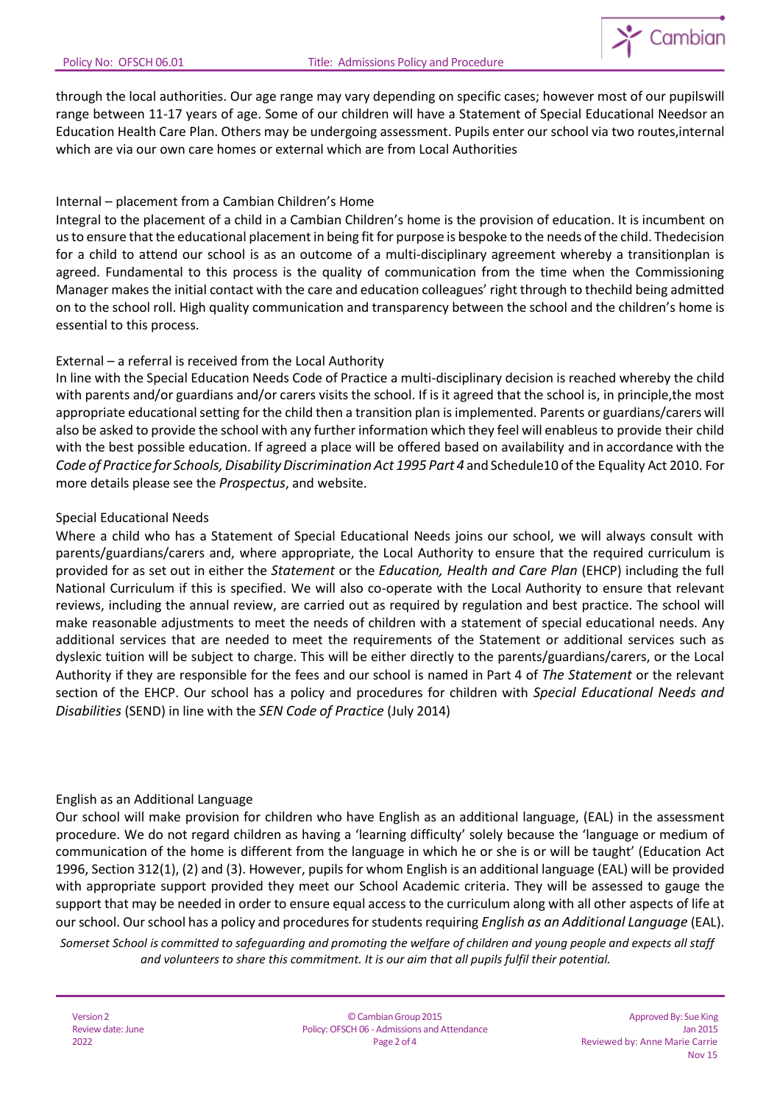

through the local authorities. Our age range may vary depending on specific cases; however most of our pupilswill range between 11-17 years of age. Some of our children will have a Statement of Special Educational Needsor an Education Health Care Plan. Others may be undergoing assessment. Pupils enter our school via two routes,internal which are via our own care homes or external which are from Local Authorities

## Internal – placement from a Cambian Children's Home

Integral to the placement of a child in a Cambian Children's home is the provision of education. It is incumbent on usto ensure thatthe educational placement in being fit for purpose is bespoke to the needs of the child. Thedecision for a child to attend our school is as an outcome of a multi-disciplinary agreement whereby a transitionplan is agreed. Fundamental to this process is the quality of communication from the time when the Commissioning Manager makes the initial contact with the care and education colleagues' right through to thechild being admitted on to the school roll. High quality communication and transparency between the school and the children's home is essential to this process.

### External – a referral is received from the Local Authority

In line with the Special Education Needs Code of Practice a multi-disciplinary decision is reached whereby the child with parents and/or guardians and/or carers visits the school. If is it agreed that the school is, in principle,the most appropriate educational setting for the child then a transition plan is implemented. Parents or guardians/carers will also be asked to provide the school with any further information which they feel will enableus to provide their child with the best possible education. If agreed a place will be offered based on availability and in accordance with the *Code of Practice for Schools, Disability Discrimination Act 1995 Part 4* and Schedule10 of the Equality Act 2010. For more details please see the *Prospectus*, and website.

### Special Educational Needs

Where a child who has a Statement of Special Educational Needs joins our school, we will always consult with parents/guardians/carers and, where appropriate, the Local Authority to ensure that the required curriculum is provided for as set out in either the *Statement* or the *Education, Health and Care Plan* (EHCP) including the full National Curriculum if this is specified. We will also co-operate with the Local Authority to ensure that relevant reviews, including the annual review, are carried out as required by regulation and best practice. The school will make reasonable adjustments to meet the needs of children with a statement of special educational needs. Any additional services that are needed to meet the requirements of the Statement or additional services such as dyslexic tuition will be subject to charge. This will be either directly to the parents/guardians/carers, or the Local Authority if they are responsible for the fees and our school is named in Part 4 of *The Statement* or the relevant section of the EHCP. Our school has a policy and procedures for children with *Special Educational Needs and Disabilities* (SEND) in line with the *SEN Code of Practice* (July 2014)

### English as an Additional Language

Our school will make provision for children who have English as an additional language, (EAL) in the assessment procedure. We do not regard children as having a 'learning difficulty' solely because the 'language or medium of communication of the home is different from the language in which he or she is or will be taught' (Education Act 1996, Section 312(1), (2) and (3). However, pupils for whom English is an additional language (EAL) will be provided with appropriate support provided they meet our School Academic criteria. They will be assessed to gauge the support that may be needed in order to ensure equal access to the curriculum along with all other aspects of life at our school. Our school has a policy and procedures for students requiring *English as an Additional Language* (EAL).

Somerset School is committed to safeguarding and promoting the welfare of children and young people and expects all staff *and volunteers to share this commitment. It is our aim that all pupils fulfil their potential.*

| Version 2         |
|-------------------|
| Review date: June |
| 2022              |

©CambianGroup2015 Policy: OFSCH 06 - Admissions and Attendance Page 2 of 4

Approved By: Sue King Jan 2015 Reviewed by: Anne Marie Carrie Nov 15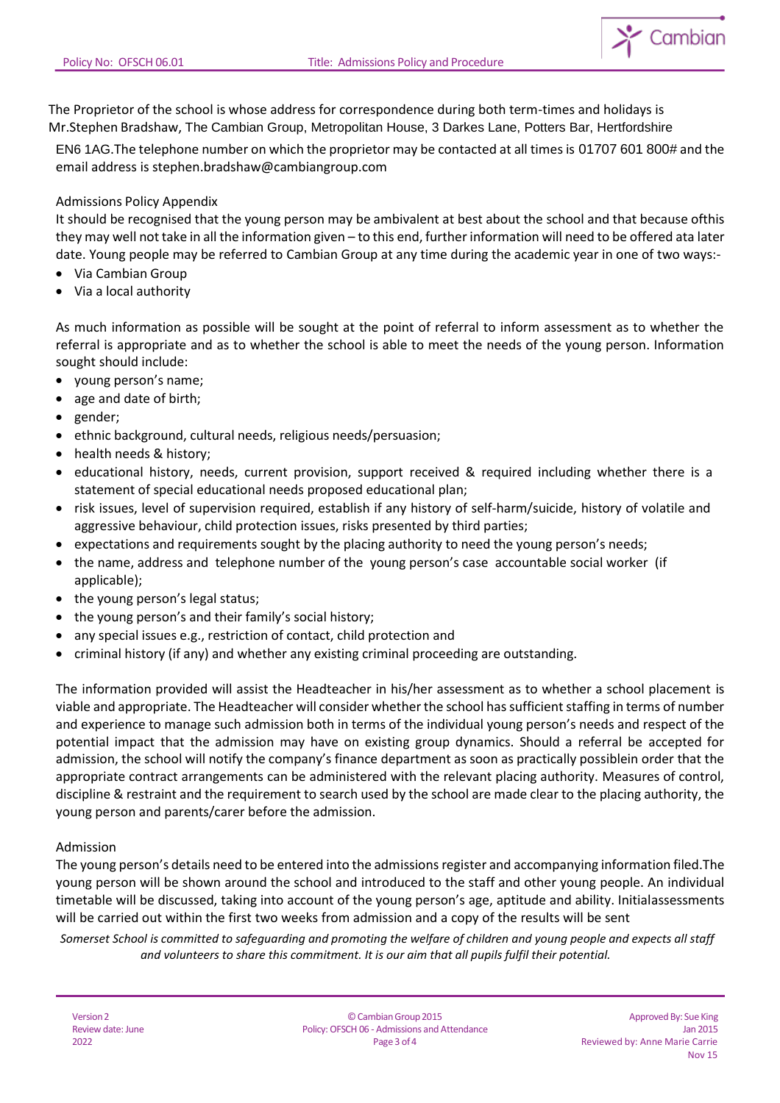The Proprietor of the school is whose address for correspondence during both term-times and holidays is Mr.Stephen Bradshaw, The Cambian Group, Metropolitan House, 3 Darkes Lane, Potters Bar, Hertfordshire

EN6 1AG.The telephone number on which the proprietor may be contacted at all times is 01707 601 800# and the email address is [stephen.bradshaw@cambiangroup.com](mailto:stephen.bradshaw@cambiangroup.com)

# Admissions Policy Appendix

It should be recognised that the young person may be ambivalent at best about the school and that because ofthis they may well not take in all the information given – to this end, further information will need to be offered ata later date. Young people may be referred to Cambian Group at any time during the academic year in one of two ways:-

- Via Cambian Group
- Via a local authority

As much information as possible will be sought at the point of referral to inform assessment as to whether the referral is appropriate and as to whether the school is able to meet the needs of the young person. Information sought should include:

- young person's name;
- age and date of birth;
- gender;
- ethnic background, cultural needs, religious needs/persuasion;
- health needs & history;
- educational history, needs, current provision, support received & required including whether there is a statement of special educational needs proposed educational plan;
- risk issues, level of supervision required, establish if any history of self-harm/suicide, history of volatile and aggressive behaviour, child protection issues, risks presented by third parties;
- expectations and requirements sought by the placing authority to need the young person's needs;
- the name, address and telephone number of the young person's case accountable social worker (if applicable);
- the young person's legal status;
- the young person's and their family's social history;
- any special issues e.g., restriction of contact, child protection and
- criminal history (if any) and whether any existing criminal proceeding are outstanding.

The information provided will assist the Headteacher in his/her assessment as to whether a school placement is viable and appropriate. The Headteacher will consider whether the school has sufficient staffing in terms of number and experience to manage such admission both in terms of the individual young person's needs and respect of the potential impact that the admission may have on existing group dynamics. Should a referral be accepted for admission, the school will notify the company's finance department as soon as practically possiblein order that the appropriate contract arrangements can be administered with the relevant placing authority. Measures of control, discipline & restraint and the requirement to search used by the school are made clear to the placing authority, the young person and parents/carer before the admission.

### Admission

The young person's details need to be entered into the admissions register and accompanying information filed.The young person will be shown around the school and introduced to the staff and other young people. An individual timetable will be discussed, taking into account of the young person's age, aptitude and ability. Initialassessments will be carried out within the first two weeks from admission and a copy of the results will be sent

Somerset School is committed to safeguarding and promoting the welfare of children and young people and expects all staff *and volunteers to share this commitment. It is our aim that all pupils fulfil their potential.*

| Version 2         |
|-------------------|
| Review date: June |
| 2022              |

 $\sum$  Cambian